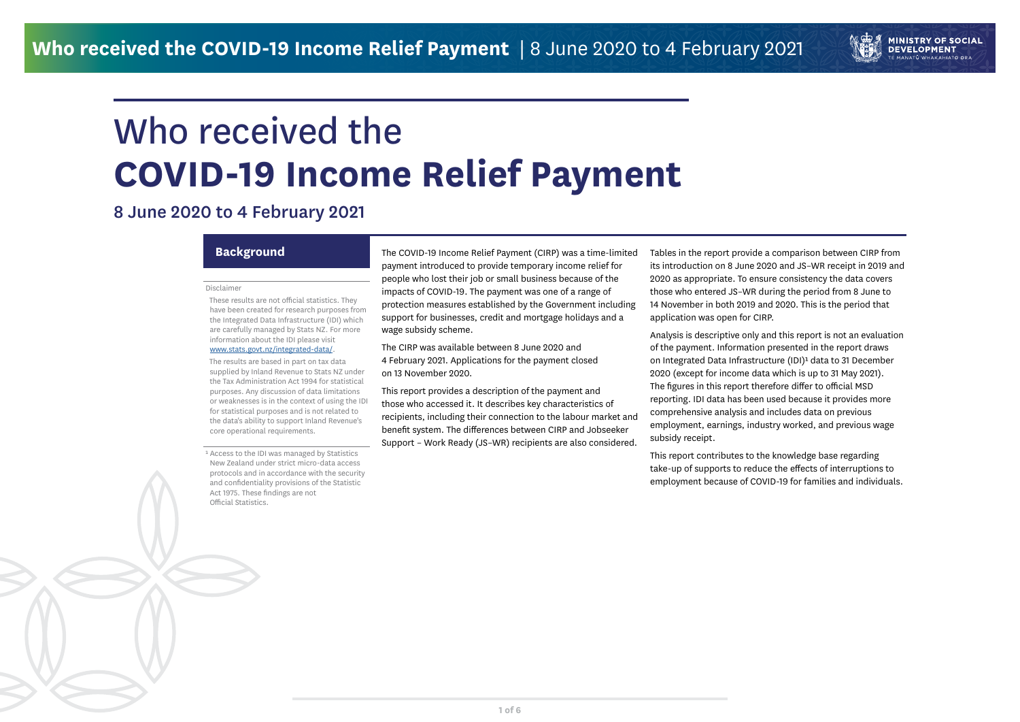# Who received the **COVID-19 Income Relief Payment**

**MINISTRY OF SOCIAL DEVELOPMENT** E MANATŪ WHAKAHIATO ORA

## 8 June 2020 to 4 February 2021

### **Disclaimer**

 These results are not official statistics. They have been created for research purposes from the Integrated Data Infrastructure (IDI) which are carefully managed by Stats NZ. For more information about the IDI please visit

### [www.stats.govt.nz/integrated-data/](https://www.stats.govt.nz/integrated-data/).

<sup>1</sup> Access to the IDI was managed by Statistics New Zealand under strict micro-data access protocols and in accordance with the security and confidentiality provisions of the Statistic Act 1975. These findings are not Official Statistics.

 The results are based in part on tax data supplied by Inland Revenue to Stats NZ under the Tax Administration Act 1994 for statistical purposes. Any discussion of data limitations or weaknesses is in the context of using the IDI for statistical purposes and is not related to the data's ability to support Inland Revenue's core operational requirements.

**Background** The COVID-19 Income Relief Payment (CIRP) was a time-limited payment introduced to provide temporary income relief for people who lost their job or small business because of the impacts of COVID-19. The payment was one of a range of protection measures established by the Government including support for businesses, credit and mortgage holidays and a wage subsidy scheme.

> The CIRP was available between 8 June 2020 and 4 February 2021. Applications for the payment closed on 13 November 2020.

This report provides a description of the payment and those who accessed it. It describes key characteristics of recipients, including their connection to the labour market and benefit system. The differences between CIRP and Jobseeker Support – Work Ready (JS–WR) recipients are also considered.

Tables in the report provide a comparison between CIRP from its introduction on 8 June 2020 and JS–WR receipt in 2019 and 2020 as appropriate. To ensure consistency the data covers those who entered JS–WR during the period from 8 June to 14 November in both 2019 and 2020. This is the period that application was open for CIRP.

Analysis is descriptive only and this report is not an evaluation of the payment. Information presented in the report draws on Integrated Data Infrastructure (IDI)<sup>1</sup> data to 31 December 2020 (except for income data which is up to 31 May 2021). The figures in this report therefore differ to official MSD reporting. IDI data has been used because it provides more comprehensive analysis and includes data on previous employment, earnings, industry worked, and previous wage subsidy receipt.

This report contributes to the knowledge base regarding take-up of supports to reduce the effects of interruptions to employment because of COVID-19 for families and individuals.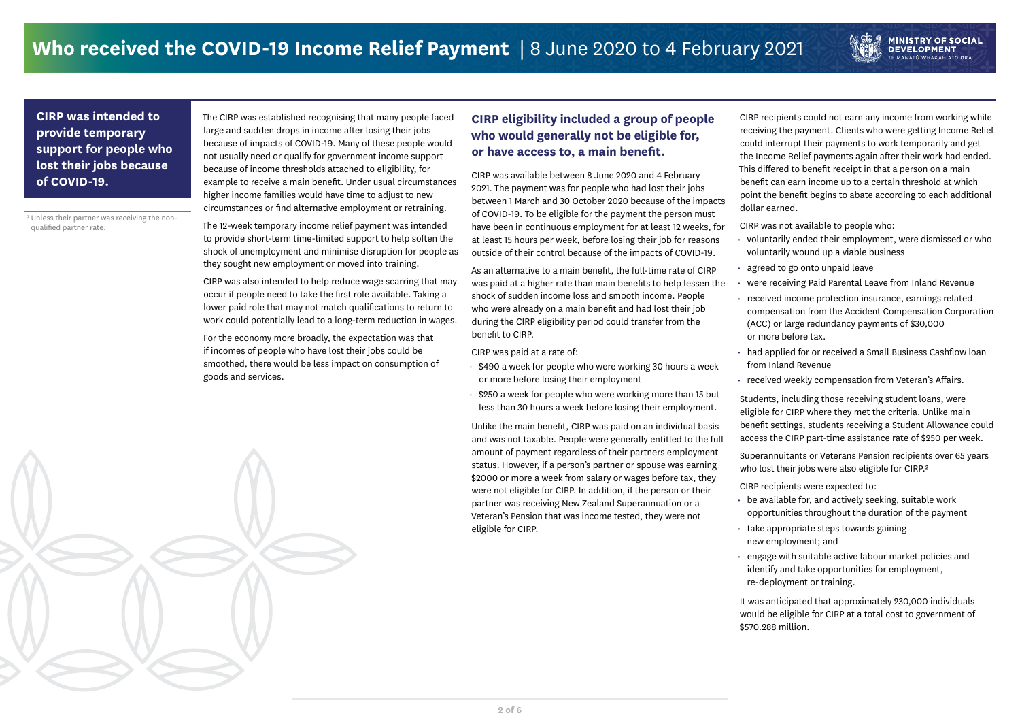### **CIRP eligibility included a group of people who would generally not be eligible for, or have access to, a main benefit.**

CIRP was available between 8 June 2020 and 4 February 2021. The payment was for people who had lost their jobs between 1 March and 30 October 2020 because of the impacts of COVID-19. To be eligible for the payment the person must have been in continuous employment for at least 12 weeks, for at least 15 hours per week, before losing their job for reasons outside of their control because of the impacts of COVID-19.

As an alternative to a main benefit, the full-time rate of CIRP was paid at a higher rate than main benefits to help lessen the shock of sudden income loss and smooth income. People who were already on a main benefit and had lost their job during the CIRP eligibility period could transfer from the benefit to CIRP.

CIRP was paid at a rate of:

- \$490 a week for people who were working 30 hours a week or more before losing their employment
- \$250 a week for people who were working more than 15 but less than 30 hours a week before losing their employment.

Unlike the main benefit, CIRP was paid on an individual basis and was not taxable. People were generally entitled to the full amount of payment regardless of their partners employment status. However, if a person's partner or spouse was earning \$2000 or more a week from salary or wages before tax, they were not eligible for CIRP. In addition, if the person or their partner was receiving New Zealand Superannuation or a Veteran's Pension that was income tested, they were not eligible for CIRP.

The CIRP was established recognising that many people faced large and sudden drops in income after losing their jobs because of impacts of COVID-19. Many of these people would not usually need or qualify for government income support because of income thresholds attached to eligibility, for example to receive a main benefit. Under usual circumstances higher income families would have time to adjust to new circumstances or find alternative employment or retraining.

> Superannuitants or Veterans Pension recipients over 65 years who lost their jobs were also eligible for CIRP.<sup>2</sup>

The 12-week temporary income relief payment was intended to provide short-term time-limited support to help soften the shock of unemployment and minimise disruption for people as they sought new employment or moved into training.

CIRP was also intended to help reduce wage scarring that may occur if people need to take the first role available. Taking a lower paid role that may not match qualifications to return to work could potentially lead to a long-term reduction in wages.

For the economy more broadly, the expectation was that if incomes of people who have lost their jobs could be smoothed, there would be less impact on consumption of goods and services.

### **CIRP was intended to provide temporary support for people who lost their jobs because of COVID-19.**

CIRP recipients could not earn any income from working while receiving the payment. Clients who were getting Income Relief could interrupt their payments to work temporarily and get the Income Relief payments again after their work had ended. This differed to benefit receipt in that a person on a main benefit can earn income up to a certain threshold at which point the benefit begins to abate according to each additional dollar earned.

**MINISTRY OF SOCIAL<br>DEVELOPMENT** 

CIRP was not available to people who:

- voluntarily ended their employment, were dismissed or who voluntarily wound up a viable business
- 

- agreed to go onto unpaid leave
- were receiving Paid Parental Leave from Inland Revenue

- compensation from the Accident Compensation Corporation (ACC) or large redundancy payments of \$30,000 or more before tax.
- received income protection insurance, earnings related
- had applied for or received a Small Business Cashflow loan from Inland Revenue
- received weekly compensation from Veteran's Affairs.

Students, including those receiving student loans, were eligible for CIRP where they met the criteria. Unlike main benefit settings, students receiving a Student Allowance could access the CIRP part-time assistance rate of \$250 per week.

- CIRP recipients were expected to:
- be available for, and actively seeking, suitable work opportunities throughout the duration of the payment
- take appropriate steps towards gaining new employment; and
- 
- 
- engage with suitable active labour market policies and identify and take opportunities for employment, re-deployment or training.



It was anticipated that approximately 230,000 individuals would be eligible for CIRP at a total cost to government of \$570.288 million.

² Unless their partner was receiving the nonqualified partner rate.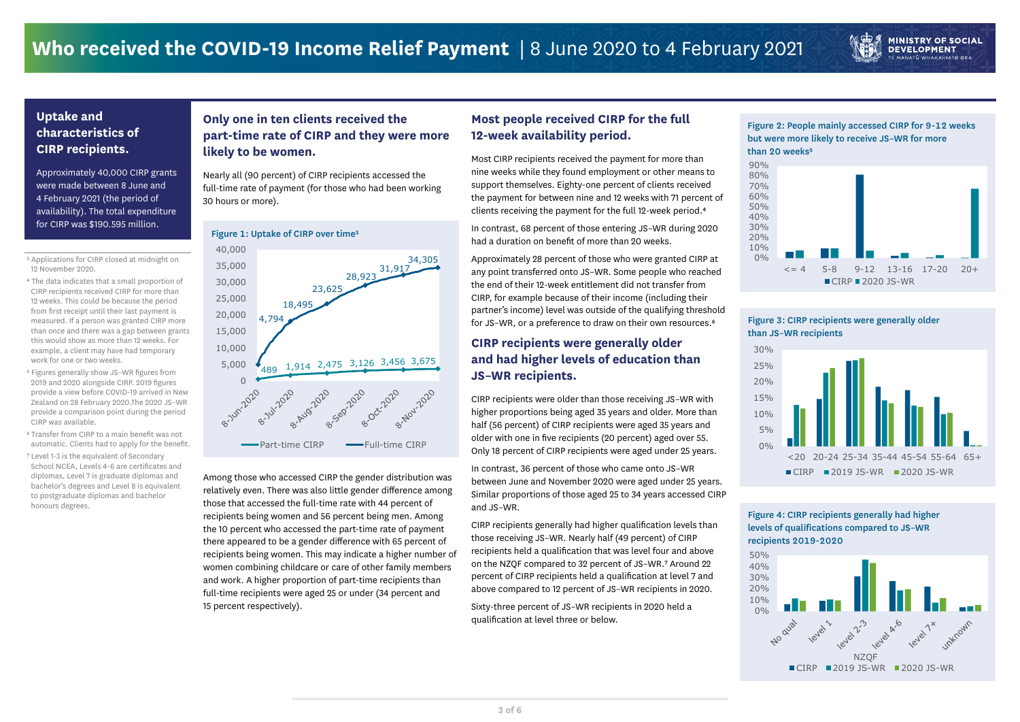Most CIRP recipients received the payment for more than nine weeks while they found employment or other means to support themselves. Eighty-one percent of clients received the payment for between nine and 12 weeks with 71 percent of clients receiving the payment for the full 12-week period.<sup>4</sup>

### **Most people received CIRP for the full 12-week availability period.**

Approximately 28 percent of those who were granted CIRP at any point transferred onto JS–WR. Some people who reached the end of their 12-week entitlement did not transfer from CIRP, for example because of their income (including their partner's income) level was outside of the qualifying threshold for JS-WR, or a preference to draw on their own resources.<sup>6</sup>

In contrast, 68 percent of those entering JS–WR during 2020 had a duration on benefit of more than 20 weeks.

### **CIRP recipients were generally older and had higher levels of education than JS–WR recipients.**

Figure 2: People mainly accessed CIRP for 9-12 weeks but were more likely to receive JS–WR for more than 20 weeks<sup>5</sup>

**MINISTRY OF SOCIAL DEVELOPMENT** E MANATŪ WHAKAHIATO ORA

CIRP recipients were older than those receiving JS–WR with higher proportions being aged 35 years and older. More than half (56 percent) of CIRP recipients were aged 35 years and older with one in five recipients (20 percent) aged over 55. Only 18 percent of CIRP recipients were aged under 25 years.

In contrast, 36 percent of those who came onto JS–WR between June and November 2020 were aged under 25 years. Similar proportions of those aged 25 to 34 years accessed CIRP and JS–WR.

<sup>3</sup> Applications for CIRP closed at midnight on 12 November 2020.

> CIRP recipients generally had higher qualification levels than those receiving JS–WR. Nearly half (49 percent) of CIRP recipients held a qualification that was level four and above on the NZQF compared to 32 percent of JS-WR.7 Around 22 percent of CIRP recipients held a qualification at level 7 and above compared to 12 percent of JS–WR recipients in 2020.

Sixty-three percent of JS–WR recipients in 2020 held a qualification at level three or below.



Figure 4: CIRP recipients generally had higher levels of qualifications compared to JS–WR recipients 2019-2020

### **Only one in ten clients received the part-time rate of CIRP and they were more likely to be women.**

 $0%$ 5% 10% 15% 20% 25% 30%

> $0%$ 10% 20%

Nearly all (90 percent) of CIRP recipients accessed the full-time rate of payment (for those who had been working 30 hours or more).

Among those who accessed CIRP the gender distribution was relatively even. There was also little gender difference among those that accessed the full-time rate with 44 percent of recipients being women and 56 percent being men. Among the 10 percent who accessed the part-time rate of payment there appeared to be a gender difference with 65 percent of recipients being women. This may indicate a higher number of women combining childcare or care of other family members and work. A higher proportion of part-time recipients than full-time recipients were aged 25 or under (34 percent and 15 percent respectively).



- ⁴ The data indicates that a small proportion of CIRP recipients received CIRP for more than 12 weeks. This could be because the period from first receipt until their last payment is measured. If a person was granted CIRP more than once and there was a gap between grants this would show as more than 12 weeks. For example, a client may have had temporary work for one or two weeks.
- ⁵ Figures generally show JS–WR figures from 2019 and 2020 alongside CIRP. 2019 figures provide a view before COVID-19 arrived in New Zealand on 28 February 2020.The 2020 JS–WR provide a comparison point during the period CIRP was available.
- ⁶ Transfer from CIRP to a main benefit was not automatic. Clients had to apply for the benefit.
- ⁷ Level 1-3 is the equivalent of Secondary School NCEA, Levels 4-6 are certificates and diplomas, Level 7 is graduate diplomas and bachelor's degrees and Level 8 is equivalent to postgraduate diplomas and bachelor honours degrees.

### **Uptake and characteristics of CIRP recipients.**

Approximately 40,000 CIRP grants were made between 8 June and 4 February 2021 (the period of availability). The total expenditure for CIRP was \$190.595 million.

0%

### 10% 20% 30% 40% 50% 60% 70% 80% 90%



## 30% 40% 50%

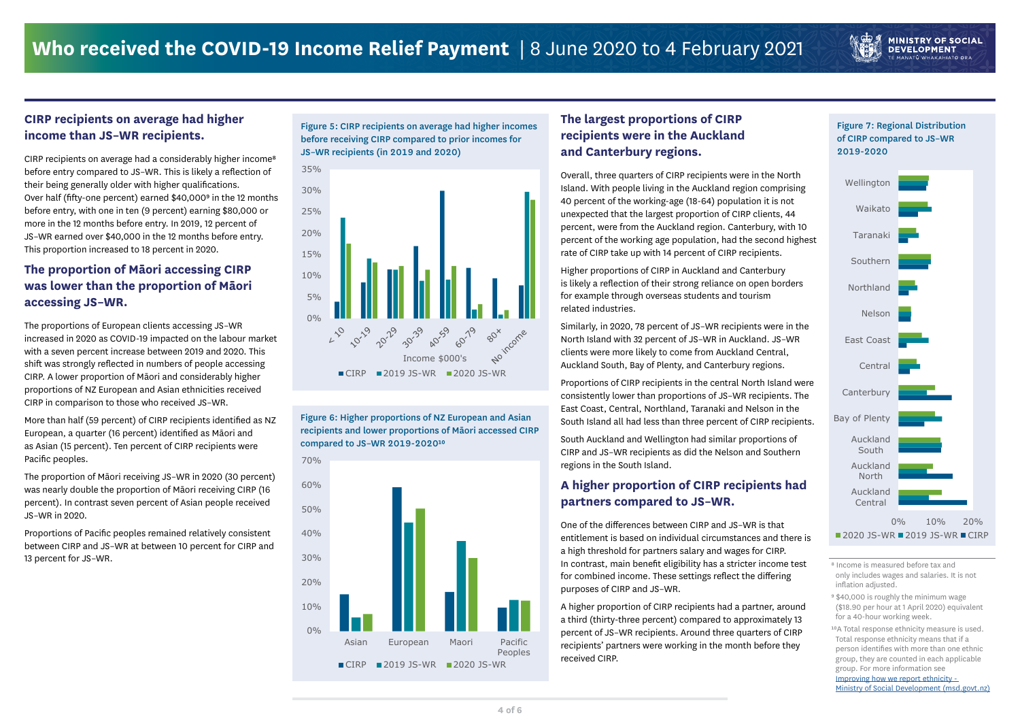### **CIRP recipients on average had higher income than JS–WR recipients.**

CIRP recipients on average had a considerably higher income<sup>8</sup> before entry compared to JS–WR. This is likely a reflection of their being generally older with higher qualifications. Over half (fifty-one percent) earned \$40,000<sup>9</sup> in the 12 months before entry, with one in ten (9 percent) earning \$80,000 or more in the 12 months before entry. In 2019, 12 percent of JS–WR earned over \$40,000 in the 12 months before entry. This proportion increased to 18 percent in 2020.

### **The proportion of Māori accessing CIRP was lower than the proportion of Māori accessing JS–WR.**

The proportions of European clients accessing JS–WR increased in 2020 as COVID-19 impacted on the labour market with a seven percent increase between 2019 and 2020. This shift was strongly reflected in numbers of people accessing CIRP. A lower proportion of Māori and considerably higher proportions of NZ European and Asian ethnicities received CIRP in comparison to those who received JS–WR.

> Figure 6: Higher proportions of NZ European and Asian recipients and lower proportions of Māori accessed CIRP compared to JS-WR 2019-2020<sup>10</sup>

More than half (59 percent) of CIRP recipients identified as NZ European, a quarter (16 percent) identified as Māori and as Asian (15 percent). Ten percent of CIRP recipients were Pacific peoples.

The proportion of Māori receiving JS–WR in 2020 (30 percent) was nearly double the proportion of Māori receiving CIRP (16 percent). In contrast seven percent of Asian people received JS–WR in 2020.

Proportions of Pacific peoples remained relatively consistent between CIRP and JS–WR at between 10 percent for CIRP and

- only includes wages and salaries. It is not inflation adjusted.
- ⁹ \$40,000 is roughly the minimum wage (\$18.90 per hour at 1 April 2020) equivalent for a 40-hour working week.
- 10A Total response ethnicity measure is used. Total response ethnicity means that if a person identifies with more than one ethnic group, they are counted in each applicable group. For more information see [Improving how we report ethnicity -](https://www.msd.govt.nz/about-msd-and-our-work/tools/how-we-report-ethnicity.html)  [Ministry of Social Development \(msd.govt.nz\)](https://www.msd.govt.nz/about-msd-and-our-work/tools/how-we-report-ethnicity.html)

Figure 5: CIRP recipients on average had higher incomes before receiving CIRP compared to prior incomes for JS–WR recipients (in 2019 and 2020)

> 0% 10% 20% Auckland Central Auckland North Auckland South Bay of Plenty **Canterbury** Central East Coast Nelson Northland Southern Taranaki Waikato Wellington ■2020 JS-WR ■2019 JS-WR ■CIRP

### Figure 7: Regional Distribution of CIRP compared to JS–WR 2019-2020

**MINISTRY OF SOCIAL DEVELOPMENT** MANATU WHAKAHIATO ORA

### **The largest proportions of CIRP recipients were in the Auckland and Canterbury regions.**



Overall, three quarters of CIRP recipients were in the North Island. With people living in the Auckland region comprising 40 percent of the working-age (18-64) population it is not unexpected that the largest proportion of CIRP clients, 44 percent, were from the Auckland region. Canterbury, with 10 percent of the working age population, had the second highest rate of CIRP take up with 14 percent of CIRP recipients. Higher proportions of CIRP in Auckland and Canterbury is likely a reflection of their strong reliance on open borders for example through overseas students and tourism related industries. Similarly, in 2020, 78 percent of JS–WR recipients were in the North Island with 32 percent of JS–WR in Auckland. JS–WR clients were more likely to come from Auckland Central, Auckland South, Bay of Plenty, and Canterbury regions. Proportions of CIRP recipients in the central North Island were consistently lower than proportions of JS–WR recipients. The East Coast, Central, Northland, Taranaki and Nelson in the South Island all had less than three percent of CIRP recipients. South Auckland and Wellington had similar proportions of CIRP and JS–WR recipients as did the Nelson and Southern regions in the South Island. **A higher proportion of CIRP recipients had partners compared to JS–WR.**  One of the differences between CIRP and JS–WR is that

entitlement is based on individual circumstances and there is a high threshold for partners salary and wages for CIRP. for combined income. These settings reflect the differing purposes of CIRP and JS–WR.

A higher proportion of CIRP recipients had a partner, around a third (thirty-three percent) compared to approximately 13 percent of JS–WR recipients. Around three quarters of CIRP recipients' partners were working in the month before they received CIRP.

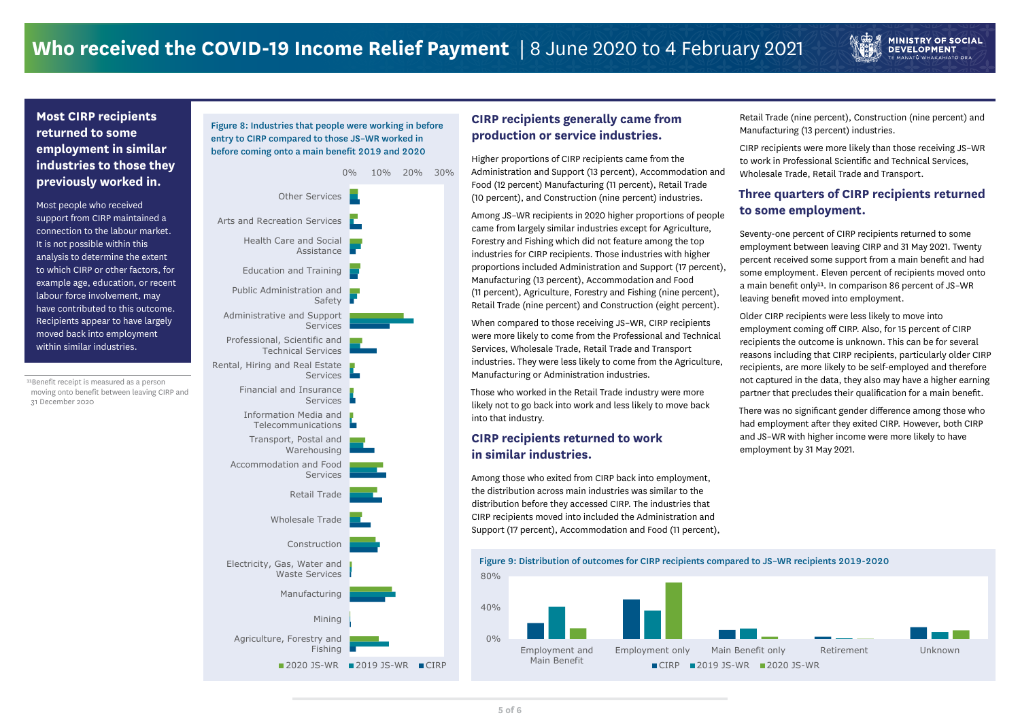### **CIRP recipients generally came from production or service industries.**

Higher proportions of CIRP recipients came from the Administration and Support (13 percent), Accommodation and Food (12 percent) Manufacturing (11 percent), Retail Trade (10 percent), and Construction (nine percent) industries.

Among JS–WR recipients in 2020 higher proportions of people came from largely similar industries except for Agriculture, Forestry and Fishing which did not feature among the top industries for CIRP recipients. Those industries with higher proportions included Administration and Support (17 percent), Manufacturing (13 percent), Accommodation and Food (11 percent), Agriculture, Forestry and Fishing (nine percent), Retail Trade (nine percent) and Construction (eight percent).

When compared to those receiving JS–WR, CIRP recipients were more likely to come from the Professional and Technical Services, Wholesale Trade, Retail Trade and Transport industries. They were less likely to come from the Agriculture, Manufacturing or Administration industries.

11Benefit receipt is measured as a person moving onto benefit between leaving CIRP and 31 December 2020

Those who worked in the Retail Trade industry were more likely not to go back into work and less likely to move back into that industry.

### **CIRP recipients returned to work in similar industries.**

Among those who exited from CIRP back into employment, the distribution across main industries was similar to the distribution before they accessed CIRP. The industries that CIRP recipients moved into included the Administration and Support (17 percent), Accommodation and Food (11 percent),

### **Most CIRP recipients returned to some employment in similar industries to those they previously worked in.**

Most people who received support from CIRP maintained a connection to the labour market. It is not possible within this analysis to determine the extent to which CIRP or other factors, for example age, education, or recent labour force involvement, may have contributed to this outcome. Recipients appear to have largely moved back into employment within similar industries.

Retail Trade (nine percent), Construction (nine percent) and Manufacturing (13 percent) industries.

**MINISTRY OF SOCIAL DEVELOPMENT** : MANATŪ WHAKAHIATO ORA

CIRP recipients were more likely than those receiving JS–WR to work in Professional Scientific and Technical Services, Wholesale Trade, Retail Trade and Transport.

### **Three quarters of CIRP recipients returned to some employment.**

Seventy-one percent of CIRP recipients returned to some employment between leaving CIRP and 31 May 2021. Twenty percent received some support from a main benefit and had some employment. Eleven percent of recipients moved onto a main benefit only<sup>11</sup>. In comparison 86 percent of JS-WR leaving benefit moved into employment.

Older CIRP recipients were less likely to move into employment coming off CIRP. Also, for 15 percent of CIRP recipients the outcome is unknown. This can be for several reasons including that CIRP recipients, particularly older CIRP recipients, are more likely to be self-employed and therefore not captured in the data, they also may have a higher earning partner that precludes their qualification for a main benefit.

There was no significant gender difference among those who had employment after they exited CIRP. However, both CIRP and JS–WR with higher income were more likely to have employment by 31 May 2021.



80%